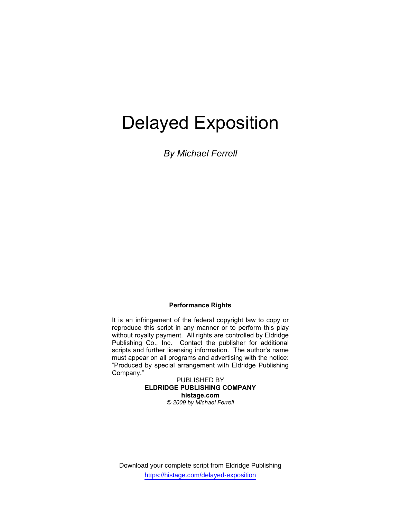# Delayed Exposition

*By Michael Ferrell* 

#### **Performance Rights**

It is an infringement of the federal copyright law to copy or reproduce this script in any manner or to perform this play without royalty payment. All rights are controlled by Eldridge Publishing Co., Inc. Contact the publisher for additional scripts and further licensing information. The author's name must appear on all programs and advertising with the notice: "Produced by special arrangement with Eldridge Publishing Company."

> PUBLISHED BY **ELDRIDGE PUBLISHING COMPANY histage.com**  *© 2009 by Michael Ferrell*

Download your complete script from Eldridge Publishing https://histage.com/delayed-exposition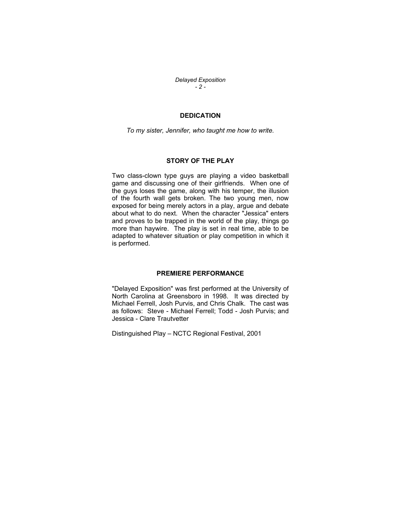*Delayed Exposition - 2 -* 

#### **DEDICATION**

*To my sister, Jennifer, who taught me how to write.* 

#### **STORY OF THE PLAY**

Two class-clown type guys are playing a video basketball game and discussing one of their girlfriends. When one of the guys loses the game, along with his temper, the illusion of the fourth wall gets broken. The two young men, now exposed for being merely actors in a play, argue and debate about what to do next. When the character "Jessica" enters and proves to be trapped in the world of the play, things go more than haywire. The play is set in real time, able to be adapted to whatever situation or play competition in which it is performed.

#### **PREMIERE PERFORMANCE**

"Delayed Exposition" was first performed at the University of North Carolina at Greensboro in 1998. It was directed by Michael Ferrell, Josh Purvis, and Chris Chalk. The cast was as follows: Steve - Michael Ferrell; Todd - Josh Purvis; and Jessica - Clare Trautvetter

Distinguished Play – NCTC Regional Festival, 2001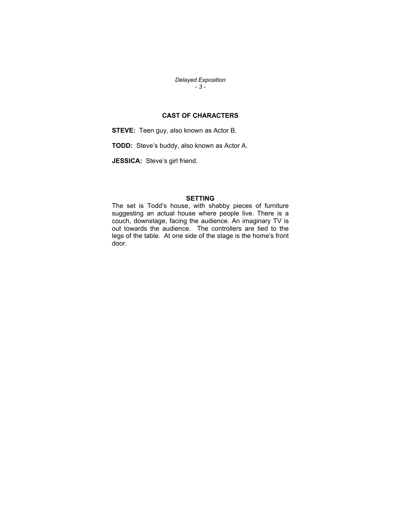*Delayed Exposition - 3 -* 

## **CAST OF CHARACTERS**

**STEVE:** Teen guy, also known as Actor B.

**TODD:** Steve's buddy, also known as Actor A.

**JESSICA:** Steve's girl friend.

## **SETTING**

The set is Todd's house, with shabby pieces of furniture suggesting an actual house where people live. There is a couch, downstage, facing the audience. An imaginary TV is out towards the audience. The controllers are tied to the legs of the table. At one side of the stage is the home's front door.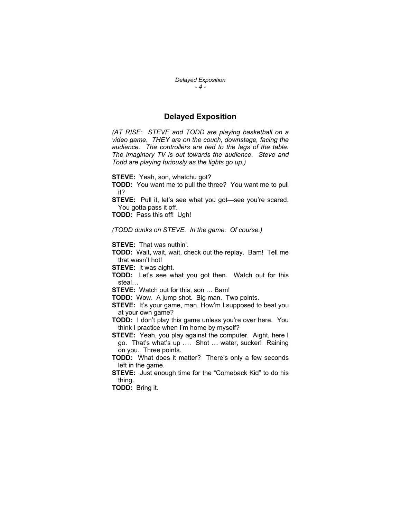*Delayed Exposition - 4 -* 

#### **Delayed Exposition**

*(AT RISE: STEVE and TODD are playing basketball on a video game. THEY are on the couch, downstage, facing the audience. The controllers are tied to the legs of the table. The imaginary TV is out towards the audience. Steve and Todd are playing furiously as the lights go up.)* 

**STEVE:** Yeah, son, whatchu got?

**TODD:** You want me to pull the three? You want me to pull it?

**STEVE:** Pull it, let's see what you got—see you're scared. You gotta pass it off.

**TODD:** Pass this off! Ugh!

*(TODD dunks on STEVE. In the game. Of course.)* 

**STEVE:** That was nuthin'.

**TODD:** Wait, wait, wait, check out the replay. Bam! Tell me that wasn't hot!

**STEVE:** It was aight.

**TODD:** Let's see what you got then. Watch out for this steal…

**STEVE:** Watch out for this, son … Bam!

**TODD:** Wow. A jump shot. Big man. Two points.

**STEVE:** It's your game, man. How'm I supposed to beat you at your own game?

**TODD:** I don't play this game unless you're over here. You think I practice when I'm home by myself?

**STEVE:** Yeah, you play against the computer. Aight, here I go. That's what's up …. Shot … water, sucker! Raining on you. Three points.

**TODD:** What does it matter? There's only a few seconds left in the game.

**STEVE:** Just enough time for the "Comeback Kid" to do his thing.

**TODD:** Bring it.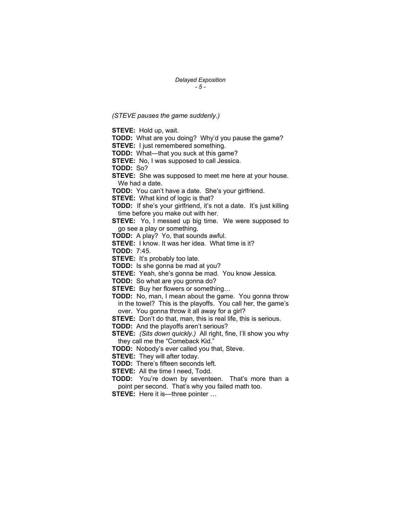*Delayed Exposition - 5 -* 

*(STEVE pauses the game suddenly.)* 

**STEVE:** Hold up, wait. **TODD:** What are you doing? Why'd you pause the game? **STEVE:** I just remembered something. **TODD:** What—that you suck at this game? **STEVE:** No, I was supposed to call Jessica. **TODD:** So? **STEVE:** She was supposed to meet me here at your house. We had a date. **TODD:** You can't have a date. She's your girlfriend. **STEVE:** What kind of logic is that? **TODD:** If she's your girlfriend, it's not a date. It's just killing time before you make out with her. **STEVE:** Yo, I messed up big time. We were supposed to go see a play or something. **TODD:** A play? Yo, that sounds awful. **STEVE:** I know. It was her idea. What time is it? **TODD:** 7:45. **STEVE:** It's probably too late. **TODD:** Is she gonna be mad at you? **STEVE:** Yeah, she's gonna be mad. You know Jessica. **TODD:** So what are you gonna do? **STEVE:** Buy her flowers or something… **TODD:** No, man, I mean about the game. You gonna throw in the towel? This is the playoffs. You call her, the game's over. You gonna throw it all away for a girl? **STEVE:** Don't do that, man, this is real life, this is serious. **TODD:** And the playoffs aren't serious? **STEVE:** *(Sits down quickly.)* All right, fine, I'll show you why they call me the "Comeback Kid." **TODD:** Nobody's ever called you that, Steve. **STEVE:** They will after today. **TODD:** There's fifteen seconds left. **STEVE:** All the time I need, Todd. **TODD:** You're down by seventeen. That's more than a point per second. That's why you failed math too. **STEVE:** Here it is—three pointer ...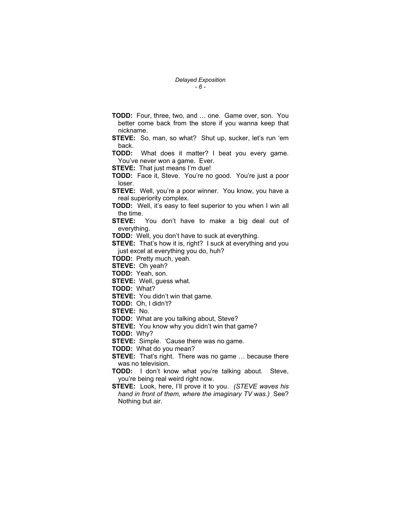- **TODD:** Four, three, two, and … one. Game over, son. You better come back from the store if you wanna keep that nickname.
- **STEVE:** So, man, so what? Shut up, sucker, let's run 'em back.

**TODD:** What does it matter? I beat you every game. You've never won a game. Ever.

**STEVE:** That just means I'm due!

**TODD:** Face it, Steve. You're no good. You're just a poor loser.

**STEVE:** Well, you're a poor winner. You know, you have a real superiority complex.

**TODD:** Well, it's easy to feel superior to you when I win all the time.

**STEVE:** You don't have to make a big deal out of everything.

**TODD:** Well, you don't have to suck at everything.

**STEVE:** That's how it is, right? I suck at everything and you just excel at everything you do, huh?

**TODD:** Pretty much, yeah.

**STEVE:** Oh yeah?

**TODD:** Yeah, son.

**STEVE:** Well, guess what.

**TODD:** What?

**STEVE:** You didn't win that game.

**TODD:** Oh, I didn't?

**STEVE:** No.

**TODD:** What are you talking about, Steve?

**STEVE:** You know why you didn't win that game?

**TODD:** Why?

**STEVE:** Simple. 'Cause there was no game.

**TODD:** What do you mean?

**STEVE:** That's right. There was no game ... because there was no television.

**TODD:** I don't know what you're talking about. Steve, you're being real weird right now.

**STEVE:** Look, here, I'll prove it to you. *(STEVE waves his hand in front of them, where the imaginary TV was.)* See? Nothing but air.